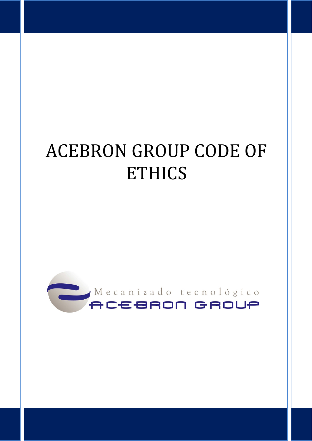# ACEBRON GROUP CODE OF **ETHICS**

CÓDIGO ÉTICO ESTICO EN 1989, ESPECIALE EN 1989, ESPECIALE EN 1989, ESPECIALE EN 1989, ESPECIALE EN 1989, ESPEC

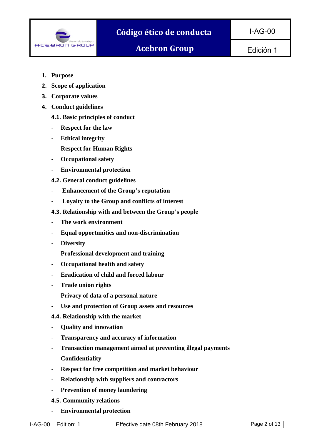

Edición 1

- **1. Purpose**
- **2. Scope of application**
- **3. Corporate values**
- **4. Conduct guidelines** 
	- **4.1. Basic principles of conduct**
	- ‐ **Respect for the law**
	- ‐ **Ethical integrity**
	- ‐ **Respect for Human Rights**
	- ‐ **Occupational safety**
	- ‐ **Environmental protection**
	- **4.2. General conduct guidelines**
	- ‐ **Enhancement of the Group's reputation**
	- ‐ **Loyalty to the Group and conflicts of interest**
	- **4.3. Relationship with and between the Group's people**
	- ‐ **The work environment**
	- ‐ **Equal opportunities and non-discrimination**
	- ‐ **Diversity**
	- ‐ **Professional development and training**
	- ‐ **Occupational health and safety**
	- ‐ **Eradication of child and forced labour**
	- ‐ **Trade union rights**
	- ‐ **Privacy of data of a personal nature**
	- ‐ **Use and protection of Group assets and resources**
	- **4.4. Relationship with the market**
	- ‐ **Quality and innovation**
	- ‐ **Transparency and accuracy of information**
	- ‐ **Transaction management aimed at preventing illegal payments**
	- ‐ **Confidentiality**
	- ‐ **Respect for free competition and market behaviour**
	- ‐ **Relationship with suppliers and contractors**
	- ‐ **Prevention of money laundering**
	- **4.5. Community relations**
	- ‐ **Environmental protection**

|  | Edition:<br>l I-AG-00 | Effective date 08th February 2018 | Page 2 of 1 |
|--|-----------------------|-----------------------------------|-------------|
|--|-----------------------|-----------------------------------|-------------|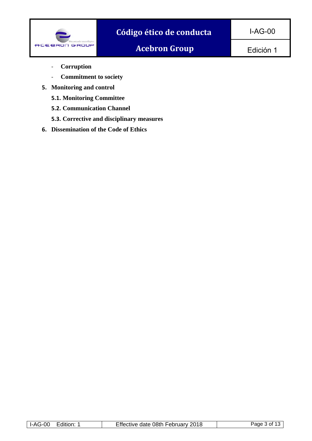

Edición 1

- ‐ **Corruption**
- ‐ **Commitment to society**
- **5. Monitoring and control** 
	- **5.1. Monitoring Committee**
	- **5.2. Communication Channel**
	- **5.3. Corrective and disciplinary measures**
- **6. Dissemination of the Code of Ethics**

|--|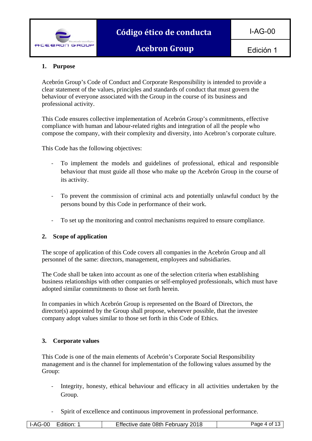

# **1. Purpose**

Acebrón Group's Code of Conduct and Corporate Responsibility is intended to provide a clear statement of the values, principles and standards of conduct that must govern the behaviour of everyone associated with the Group in the course of its business and professional activity.

This Code ensures collective implementation of Acebrón Group's commitments, effective compliance with human and labour-related rights and integration of all the people who compose the company, with their complexity and diversity, into Acebron's corporate culture.

This Code has the following objectives:

- ‐ To implement the models and guidelines of professional, ethical and responsible behaviour that must guide all those who make up the Acebrón Group in the course of its activity.
- ‐ To prevent the commission of criminal acts and potentially unlawful conduct by the persons bound by this Code in performance of their work.
- ‐ To set up the monitoring and control mechanisms required to ensure compliance.

#### **2. Scope of application**

The scope of application of this Code covers all companies in the Acebrón Group and all personnel of the same: directors, management, employees and subsidiaries.

The Code shall be taken into account as one of the selection criteria when establishing business relationships with other companies or self-employed professionals, which must have adopted similar commitments to those set forth herein.

In companies in which Acebrón Group is represented on the Board of Directors, the director(s) appointed by the Group shall propose, whenever possible, that the investee company adopt values similar to those set forth in this Code of Ethics.

#### **3. Corporate values**

This Code is one of the main elements of Acebrón's Corporate Social Responsibility management and is the channel for implementation of the following values assumed by the Group:

- ‐ Integrity, honesty, ethical behaviour and efficacy in all activities undertaken by the Group.
- ‐ Spirit of excellence and continuous improvement in professional performance.

| Edition:<br><b>I-AG-00</b> | Effective date 08th February 2018 | Paɑe 4 of 1: |
|----------------------------|-----------------------------------|--------------|
|                            |                                   |              |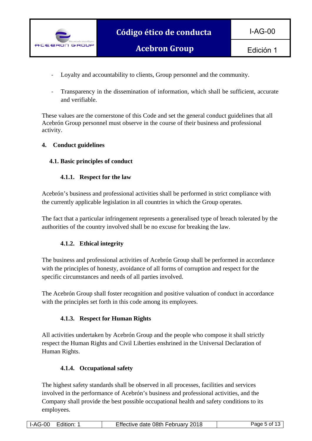

‐ Loyalty and accountability to clients, Group personnel and the community.

‐ Transparency in the dissemination of information, which shall be sufficient, accurate and verifiable.

These values are the cornerstone of this Code and set the general conduct guidelines that all Acebrón Group personnel must observe in the course of their business and professional activity.

# **4. Conduct guidelines**

# **4.1. Basic principles of conduct**

# **4.1.1. Respect for the law**

Acebrón's business and professional activities shall be performed in strict compliance with the currently applicable legislation in all countries in which the Group operates.

The fact that a particular infringement represents a generalised type of breach tolerated by the authorities of the country involved shall be no excuse for breaking the law.

# **4.1.2. Ethical integrity**

The business and professional activities of Acebrón Group shall be performed in accordance with the principles of honesty, avoidance of all forms of corruption and respect for the specific circumstances and needs of all parties involved.

The Acebrón Group shall foster recognition and positive valuation of conduct in accordance with the principles set forth in this code among its employees.

# **4.1.3. Respect for Human Rights**

All activities undertaken by Acebrón Group and the people who compose it shall strictly respect the Human Rights and Civil Liberties enshrined in the Universal Declaration of Human Rights.

#### **4.1.4. Occupational safety**

The highest safety standards shall be observed in all processes, facilities and services involved in the performance of Acebrón's business and professional activities, and the Company shall provide the best possible occupational health and safety conditions to its employees.

| Page 5 of 13 L<br>Effective date 08th February 2018<br>l I-AG-00<br>Edition: |
|------------------------------------------------------------------------------|
|------------------------------------------------------------------------------|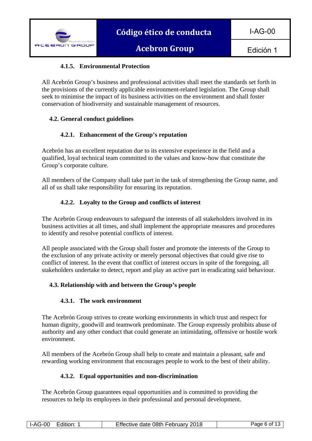Edición 1

# **4.1.5. Environmental Protection**

All Acebrón Group's business and professional activities shall meet the standards set forth in the provisions of the currently applicable environment-related legislation. The Group shall seek to minimise the impact of its business activities on the environment and shall foster conservation of biodiversity and sustainable management of resources.

# **4.2. General conduct guidelines**

# **4.2.1. Enhancement of the Group's reputation**

Acebrón has an excellent reputation due to its extensive experience in the field and a qualified, loyal technical team committed to the values and know-how that constitute the Group's corporate culture.

All members of the Company shall take part in the task of strengthening the Group name, and all of us shall take responsibility for ensuring its reputation.

# **4.2.2. Loyalty to the Group and conflicts of interest**

The Acebrón Group endeavours to safeguard the interests of all stakeholders involved in its business activities at all times, and shall implement the appropriate measures and procedures to identify and resolve potential conflicts of interest.

All people associated with the Group shall foster and promote the interests of the Group to the exclusion of any private activity or merely personal objectives that could give rise to conflict of interest. In the event that conflict of interest occurs in spite of the foregoing, all stakeholders undertake to detect, report and play an active part in eradicating said behaviour.

#### **4.3. Relationship with and between the Group's people**

#### **4.3.1. The work environment**

The Acebrón Group strives to create working environments in which trust and respect for human dignity, goodwill and teamwork predominate. The Group expressly prohibits abuse of authority and any other conduct that could generate an intimidating, offensive or hostile work environment.

All members of the Acebrón Group shall help to create and maintain a pleasant, safe and rewarding working environment that encourages people to work to the best of their ability.

#### **4.3.2. Equal opportunities and non-discrimination**

The Acebrón Group guarantees equal opportunities and is committed to providing the resources to help its employees in their professional and personal development.

|  | :dition:<br><b>I-AG-00</b> | Effective date 08th February 2018 | Page 6 of 1 |
|--|----------------------------|-----------------------------------|-------------|
|--|----------------------------|-----------------------------------|-------------|

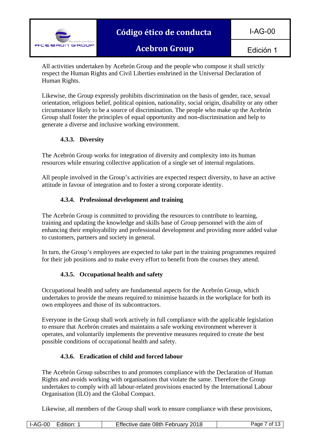

All activities undertaken by Acebrón Group and the people who compose it shall strictly respect the Human Rights and Civil Liberties enshrined in the Universal Declaration of Human Rights.

Likewise, the Group expressly prohibits discrimination on the basis of gender, race, sexual orientation, religious belief, political opinion, nationality, social origin, disability or any other circumstance likely to be a source of discrimination. The people who make up the Acebrón Group shall foster the principles of equal opportunity and non-discrimination and help to generate a diverse and inclusive working environment.

# **4.3.3. Diversity**

The Acebrón Group works for integration of diversity and complexity into its human resources while ensuring collective application of a single set of internal regulations.

All people involved in the Group's activities are expected respect diversity, to have an active attitude in favour of integration and to foster a strong corporate identity.

# **4.3.4. Professional development and training**

The Acebrón Group is committed to providing the resources to contribute to learning, training and updating the knowledge and skills base of Group personnel with the aim of enhancing their employability and professional development and providing more added value to customers, partners and society in general.

In turn, the Group's employees are expected to take part in the training programmes required for their job positions and to make every effort to benefit from the courses they attend.

# **4.3.5. Occupational health and safety**

Occupational health and safety are fundamental aspects for the Acebrón Group, which undertakes to provide the means required to minimise hazards in the workplace for both its own employees and those of its subcontractors.

Everyone in the Group shall work actively in full compliance with the applicable legislation to ensure that Acebrón creates and maintains a safe working environment wherever it operates, and voluntarily implements the preventive measures required to create the best possible conditions of occupational health and safety.

# **4.3.6. Eradication of child and forced labour**

The Acebrón Group subscribes to and promotes compliance with the Declaration of Human Rights and avoids working with organisations that violate the same. Therefore the Group undertakes to comply with all labour-related provisions enacted by the International Labour Organisation (ILO) and the Global Compact.

Likewise, all members of the Group shall work to ensure compliance with these provisions,

| Effective date 08th February 2018<br><b>I-AG-00</b><br>-dition:<br>'age<br>ot 1 |
|---------------------------------------------------------------------------------|
|---------------------------------------------------------------------------------|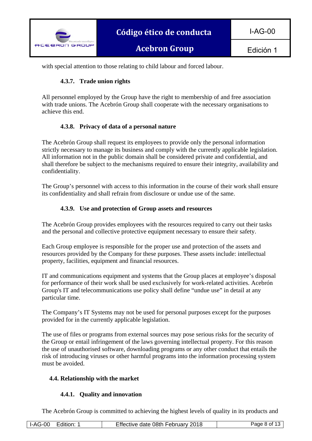

I-AG-00

with special attention to those relating to child labour and forced labour.

# **4.3.7. Trade union rights**

All personnel employed by the Group have the right to membership of and free association with trade unions. The Acebrón Group shall cooperate with the necessary organisations to achieve this end.

#### **4.3.8. Privacy of data of a personal nature**

The Acebrón Group shall request its employees to provide only the personal information strictly necessary to manage its business and comply with the currently applicable legislation. All information not in the public domain shall be considered private and confidential, and shall therefore be subject to the mechanisms required to ensure their integrity, availability and confidentiality.

The Group's personnel with access to this information in the course of their work shall ensure its confidentiality and shall refrain from disclosure or undue use of the same.

#### **4.3.9. Use and protection of Group assets and resources**

The Acebrón Group provides employees with the resources required to carry out their tasks and the personal and collective protective equipment necessary to ensure their safety.

Each Group employee is responsible for the proper use and protection of the assets and resources provided by the Company for these purposes. These assets include: intellectual property, facilities, equipment and financial resources.

IT and communications equipment and systems that the Group places at employee's disposal for performance of their work shall be used exclusively for work-related activities. Acebrón Group's IT and telecommunications use policy shall define "undue use" in detail at any particular time.

The Company's IT Systems may not be used for personal purposes except for the purposes provided for in the currently applicable legislation.

The use of files or programs from external sources may pose serious risks for the security of the Group or entail infringement of the laws governing intellectual property. For this reason the use of unauthorised software, downloading programs or any other conduct that entails the risk of introducing viruses or other harmful programs into the information processing system must be avoided.

#### **4.4. Relationship with the market**

#### **4.4.1. Quality and innovation**

The Acebrón Group is committed to achieving the highest levels of quality in its products and

|  | <b>I-AG-00</b><br>Edition: | Effective date 08th February 2018 | <sup>⊃</sup> aαe 8 of 13 ⊥ |
|--|----------------------------|-----------------------------------|----------------------------|
|--|----------------------------|-----------------------------------|----------------------------|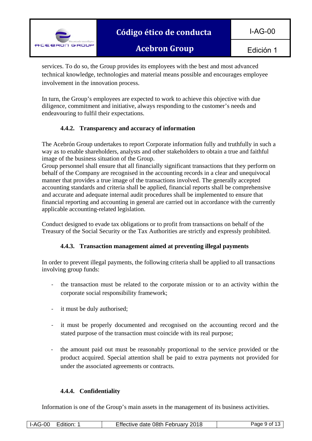

I-AG-00

**Acebron Group**

services. To do so, the Group provides its employees with the best and most advanced technical knowledge, technologies and material means possible and encourages employee involvement in the innovation process.

In turn, the Group's employees are expected to work to achieve this objective with due diligence, commitment and initiative, always responding to the customer's needs and endeavouring to fulfil their expectations.

# **4.4.2. Transparency and accuracy of information**

The Acebrón Group undertakes to report Corporate information fully and truthfully in such a way as to enable shareholders, analysts and other stakeholders to obtain a true and faithful image of the business situation of the Group.

Group personnel shall ensure that all financially significant transactions that they perform on behalf of the Company are recognised in the accounting records in a clear and unequivocal manner that provides a true image of the transactions involved. The generally accepted accounting standards and criteria shall be applied, financial reports shall be comprehensive and accurate and adequate internal audit procedures shall be implemented to ensure that financial reporting and accounting in general are carried out in accordance with the currently applicable accounting-related legislation.

Conduct designed to evade tax obligations or to profit from transactions on behalf of the Treasury of the Social Security or the Tax Authorities are strictly and expressly prohibited.

# **4.4.3. Transaction management aimed at preventing illegal payments**

In order to prevent illegal payments, the following criteria shall be applied to all transactions involving group funds:

- ‐ the transaction must be related to the corporate mission or to an activity within the corporate social responsibility framework;
- ‐ it must be duly authorised;
- ‐ it must be properly documented and recognised on the accounting record and the stated purpose of the transaction must coincide with its real purpose;
- ‐ the amount paid out must be reasonably proportional to the service provided or the product acquired. Special attention shall be paid to extra payments not provided for under the associated agreements or contracts.

# **4.4.4. Confidentiality**

Information is one of the Group's main assets in the management of its business activities.

|  | Edition: 1<br>I-AG-00 | Effective date 08th February 2018 | Page 9 of 13 l |
|--|-----------------------|-----------------------------------|----------------|
|--|-----------------------|-----------------------------------|----------------|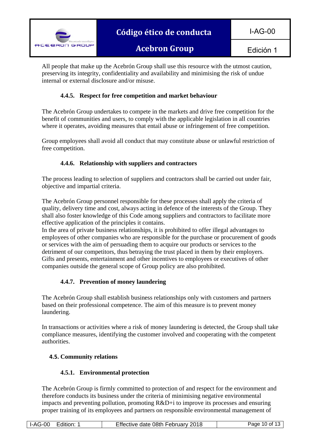

All people that make up the Acebrón Group shall use this resource with the utmost caution, preserving its integrity, confidentiality and availability and minimising the risk of undue internal or external disclosure and/or misuse.

# **4.4.5. Respect for free competition and market behaviour**

The Acebrón Group undertakes to compete in the markets and drive free competition for the benefit of communities and users, to comply with the applicable legislation in all countries where it operates, avoiding measures that entail abuse or infringement of free competition.

Group employees shall avoid all conduct that may constitute abuse or unlawful restriction of free competition.

# **4.4.6. Relationship with suppliers and contractors**

The process leading to selection of suppliers and contractors shall be carried out under fair, objective and impartial criteria.

The Acebrón Group personnel responsible for these processes shall apply the criteria of quality, delivery time and cost, always acting in defence of the interests of the Group. They shall also foster knowledge of this Code among suppliers and contractors to facilitate more effective application of the principles it contains.

In the area of private business relationships, it is prohibited to offer illegal advantages to employees of other companies who are responsible for the purchase or procurement of goods or services with the aim of persuading them to acquire our products or services to the detriment of our competitors, thus betraying the trust placed in them by their employers. Gifts and presents, entertainment and other incentives to employees or executives of other companies outside the general scope of Group policy are also prohibited.

#### **4.4.7. Prevention of money laundering**

The Acebrón Group shall establish business relationships only with customers and partners based on their professional competence. The aim of this measure is to prevent money laundering.

In transactions or activities where a risk of money laundering is detected, the Group shall take compliance measures, identifying the customer involved and cooperating with the competent authorities.

#### **4.5. Community relations**

#### **4.5.1. Environmental protection**

The Acebrón Group is firmly committed to protection of and respect for the environment and therefore conducts its business under the criteria of minimising negative environmental impacts and preventing pollution, promoting R&D+i to improve its processes and ensuring proper training of its employees and partners on responsible environmental management of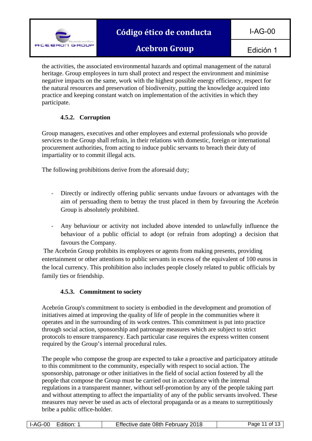

# **Código ético de conducta**

**Acebron Group**

I-AG-00

the activities, the associated environmental hazards and optimal management of the natural heritage. Group employees in turn shall protect and respect the environment and minimise negative impacts on the same, work with the highest possible energy efficiency, respect for the natural resources and preservation of biodiversity, putting the knowledge acquired into practice and keeping constant watch on implementation of the activities in which they participate.

# **4.5.2. Corruption**

Group managers, executives and other employees and external professionals who provide services to the Group shall refrain, in their relations with domestic, foreign or international procurement authorities, from acting to induce public servants to breach their duty of impartiality or to commit illegal acts.

The following prohibitions derive from the aforesaid duty;

- ‐ Directly or indirectly offering public servants undue favours or advantages with the aim of persuading them to betray the trust placed in them by favouring the Acebrón Group is absolutely prohibited.
- ‐ Any behaviour or activity not included above intended to unlawfully influence the behaviour of a public official to adopt (or refrain from adopting) a decision that favours the Company.

 The Acebrón Group prohibits its employees or agents from making presents, providing entertainment or other attentions to public servants in excess of the equivalent of 100 euros in the local currency. This prohibition also includes people closely related to public officials by family ties or friendship.

# **4.5.3. Commitment to society**

Acebrón Group's commitment to society is embodied in the development and promotion of initiatives aimed at improving the quality of life of people in the communities where it operates and in the surrounding of its work centres. This commitment is put into practice through social action, sponsorship and patronage measures which are subject to strict protocols to ensure transparency. Each particular case requires the express written consent required by the Group's internal procedural rules.

The people who compose the group are expected to take a proactive and participatory attitude to this commitment to the community, especially with respect to social action. The sponsorship, patronage or other initiatives in the field of social action fostered by all the people that compose the Group must be carried out in accordance with the internal regulations in a transparent manner, without self-promotion by any of the people taking part and without attempting to affect the impartiality of any of the public servants involved. These measures may never be used as acts of electoral propaganda or as a means to surreptitiously bribe a public office-holder.

| I-AG-00<br>Edition: | Effective date 08th February 2018 | 11 of 1<br>Page |
|---------------------|-----------------------------------|-----------------|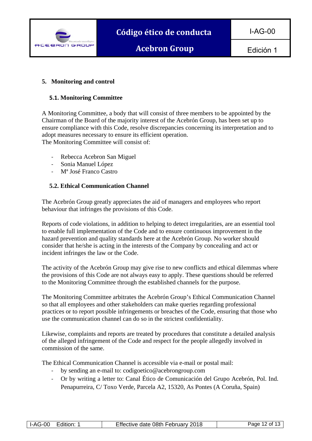

#### **5. Monitoring and control**

#### **5.1. Monitoring Committee**

A Monitoring Committee, a body that will consist of three members to be appointed by the Chairman of the Board of the majority interest of the Acebrón Group, has been set up to ensure compliance with this Code, resolve discrepancies concerning its interpretation and to adopt measures necessary to ensure its efficient operation. The Monitoring Committee will consist of:

‐ Rebecca Acebron San Miguel

‐ Sonia Manuel López

 $\overline{\phantom{a}}$ 

‐ Mª José Franco Castro

# **5.2. Ethical Communication Channel**

The Acebrón Group greatly appreciates the aid of managers and employees who report behaviour that infringes the provisions of this Code.

Reports of code violations, in addition to helping to detect irregularities, are an essential tool to enable full implementation of the Code and to ensure continuous improvement in the hazard prevention and quality standards here at the Acebrón Group. No worker should consider that he/she is acting in the interests of the Company by concealing and act or incident infringes the law or the Code.

The activity of the Acebrón Group may give rise to new conflicts and ethical dilemmas where the provisions of this Code are not always easy to apply. These questions should be referred to the Monitoring Committee through the established channels for the purpose.

The Monitoring Committee arbitrates the Acebrón Group's Ethical Communication Channel so that all employees and other stakeholders can make queries regarding professional practices or to report possible infringements or breaches of the Code, ensuring that those who use the communication channel can do so in the strictest confidentiality.

Likewise, complaints and reports are treated by procedures that constitute a detailed analysis of the alleged infringement of the Code and respect for the people allegedly involved in commission of the same.

The Ethical Communication Channel is accessible via e-mail or postal mail:

- ‐ by sending an e-mail to: codigoetico@acebrongroup.com
- ‐ Or by writing a letter to: Canal Ético de Comunicación del Grupo Acebrón, Pol. Ind. Penapurreira, C/ Toxo Verde, Parcela A2, 15320, As Pontes (A Coruña, Spain)

| <b>I-AG-00</b> | Edition: | Effective date 08th February 2018 | Page 12 of 13 |
|----------------|----------|-----------------------------------|---------------|
|----------------|----------|-----------------------------------|---------------|